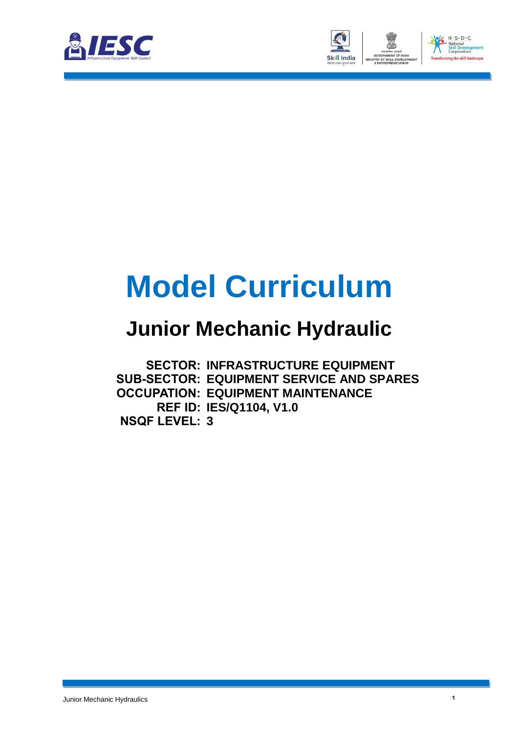



# **Model Curriculum**

### **Junior Mechanic Hydraulic**

**SECTOR: INFRASTRUCTURE EQUIPMENT SUB-SECTOR: EQUIPMENT SERVICE AND SPARES OCCUPATION: EQUIPMENT MAINTENANCE REF ID: IES/Q1104, V1.0 NSQF LEVEL: 3**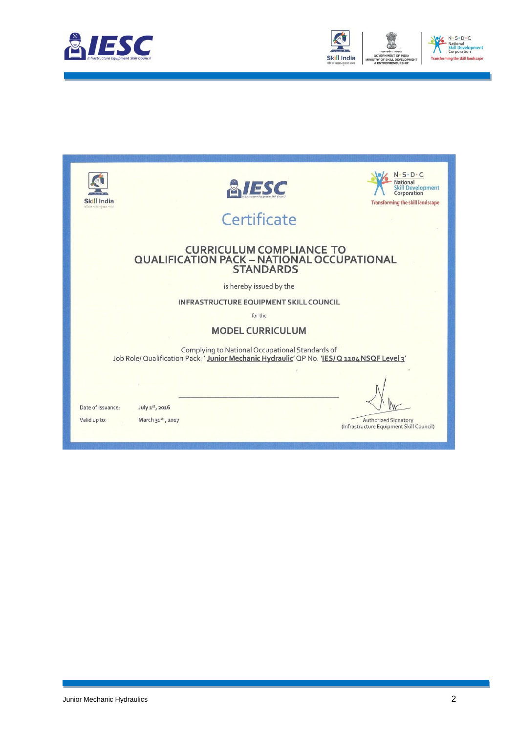



| Skill India<br>कोशल भारत-कशल भारत | ESC                                                                                                                                            | $S \cdot D \cdot C$<br>Development<br>Corporation<br><b>Transforming the skill landscape</b> |
|-----------------------------------|------------------------------------------------------------------------------------------------------------------------------------------------|----------------------------------------------------------------------------------------------|
|                                   | Certificate                                                                                                                                    |                                                                                              |
|                                   | <b>CURRICULUM COMPLIANCE TO</b><br><b>QUALIFICATION PACK - NATIONAL OCCUPATIONAL</b><br><b>STANDARDS</b>                                       |                                                                                              |
|                                   | is hereby issued by the                                                                                                                        |                                                                                              |
|                                   | <b>INFRASTRUCTURE EQUIPMENT SKILL COUNCIL</b>                                                                                                  |                                                                                              |
|                                   | for the                                                                                                                                        |                                                                                              |
|                                   | <b>MODEL CURRICULUM</b>                                                                                                                        |                                                                                              |
|                                   | Complying to National Occupational Standards of<br>Job Role/ Qualification Pack: 'Junior Mechanic Hydraulic' QP No. 'IES/ Q 1104 NSQF Level 3' |                                                                                              |
|                                   |                                                                                                                                                |                                                                                              |
| Date of Issuance:<br>Valid up to: | July 1st, 2016<br>March 31st, 2017                                                                                                             | <b>Authorized Signatory</b><br>(Infrastructure Equipment Skill Council)                      |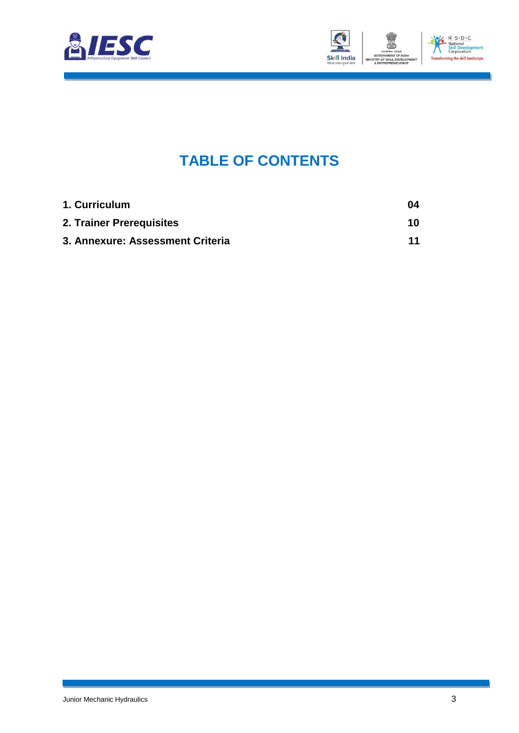



### **TABLE OF CONTENTS**

| 1. Curriculum                    | 04 |
|----------------------------------|----|
| 2. Trainer Prerequisites         | 10 |
| 3. Annexure: Assessment Criteria | 11 |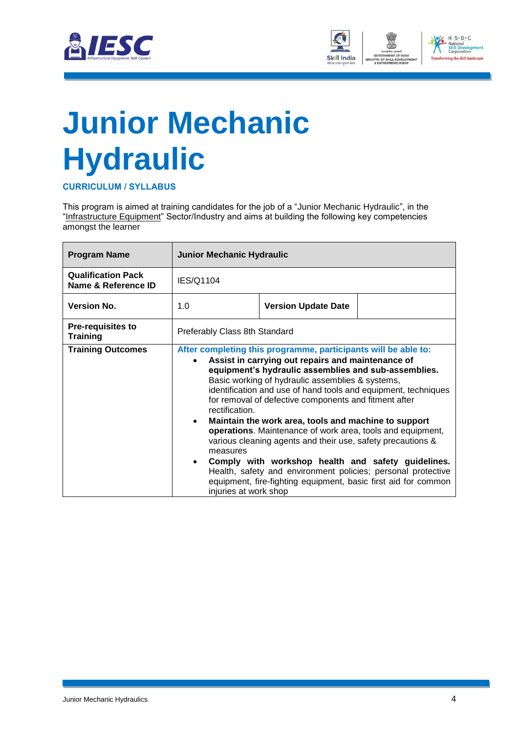



# **Junior Mechanic Hydraulic**

**CURRICULUM / SYLLABUS**

This program is aimed at training candidates for the job of a "Junior Mechanic Hydraulic", in the "Infrastructure Equipment" Sector/Industry and aims at building the following key competencies amongst the learner

| <b>Program Name</b>                              | <b>Junior Mechanic Hydraulic</b>                                                                                                                                                                                                                                                                                                                                                                                                                                                                                                                                                                                                                                                                                                                                                                |                            |
|--------------------------------------------------|-------------------------------------------------------------------------------------------------------------------------------------------------------------------------------------------------------------------------------------------------------------------------------------------------------------------------------------------------------------------------------------------------------------------------------------------------------------------------------------------------------------------------------------------------------------------------------------------------------------------------------------------------------------------------------------------------------------------------------------------------------------------------------------------------|----------------------------|
| <b>Qualification Pack</b><br>Name & Reference ID | IES/Q1104                                                                                                                                                                                                                                                                                                                                                                                                                                                                                                                                                                                                                                                                                                                                                                                       |                            |
| <b>Version No.</b>                               | 1.0                                                                                                                                                                                                                                                                                                                                                                                                                                                                                                                                                                                                                                                                                                                                                                                             | <b>Version Update Date</b> |
| <b>Pre-requisites to</b><br><b>Training</b>      | Preferably Class 8th Standard                                                                                                                                                                                                                                                                                                                                                                                                                                                                                                                                                                                                                                                                                                                                                                   |                            |
| <b>Training Outcomes</b>                         | After completing this programme, participants will be able to:<br>Assist in carrying out repairs and maintenance of<br>equipment's hydraulic assemblies and sub-assemblies.<br>Basic working of hydraulic assemblies & systems,<br>identification and use of hand tools and equipment, techniques<br>for removal of defective components and fitment after<br>rectification.<br>Maintain the work area, tools and machine to support<br>$\bullet$<br>operations. Maintenance of work area, tools and equipment,<br>various cleaning agents and their use, safety precautions &<br>measures<br>Comply with workshop health and safety guidelines.<br>$\bullet$<br>Health, safety and environment policies; personal protective<br>equipment, fire-fighting equipment, basic first aid for common |                            |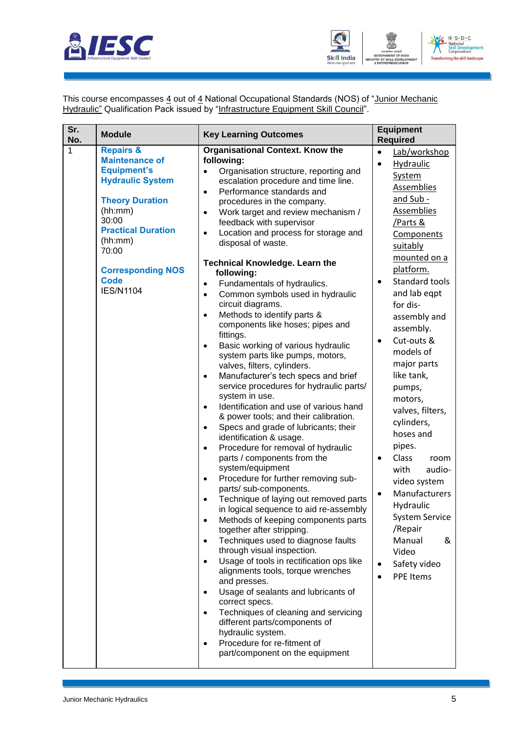



This course encompasses 4 out of 4 National Occupational Standards (NOS) of "Junior Mechanic Hydraulic" Qualification Pack issued by "Infrastructure Equipment Skill Council".

| Sr.<br>No. | <b>Module</b>                                                                                                                                                                                                                                                | <b>Key Learning Outcomes</b>                                                                                                                                                                                                                                                                                                                                                                                                                                                                                                                                                                                                                                                                                                                                                                                                                                                                                                                                                                                                                                                                                                                                                                                                                                                                                                                                                                                                                                                                                                                                                                                                                                                                                                                                                                                                                                   | <b>Equipment</b><br><b>Required</b>                                                                                                                                                                                                                                                                                                                                                                                                                                                                                                                                                                                                   |
|------------|--------------------------------------------------------------------------------------------------------------------------------------------------------------------------------------------------------------------------------------------------------------|----------------------------------------------------------------------------------------------------------------------------------------------------------------------------------------------------------------------------------------------------------------------------------------------------------------------------------------------------------------------------------------------------------------------------------------------------------------------------------------------------------------------------------------------------------------------------------------------------------------------------------------------------------------------------------------------------------------------------------------------------------------------------------------------------------------------------------------------------------------------------------------------------------------------------------------------------------------------------------------------------------------------------------------------------------------------------------------------------------------------------------------------------------------------------------------------------------------------------------------------------------------------------------------------------------------------------------------------------------------------------------------------------------------------------------------------------------------------------------------------------------------------------------------------------------------------------------------------------------------------------------------------------------------------------------------------------------------------------------------------------------------------------------------------------------------------------------------------------------------|---------------------------------------------------------------------------------------------------------------------------------------------------------------------------------------------------------------------------------------------------------------------------------------------------------------------------------------------------------------------------------------------------------------------------------------------------------------------------------------------------------------------------------------------------------------------------------------------------------------------------------------|
| 1          | <b>Repairs &amp;</b><br><b>Maintenance of</b><br><b>Equipment's</b><br><b>Hydraulic System</b><br><b>Theory Duration</b><br>(hh:mm)<br>30:00<br><b>Practical Duration</b><br>(hh:mm)<br>70:00<br><b>Corresponding NOS</b><br><b>Code</b><br><b>IES/N1104</b> | <b>Organisational Context. Know the</b><br>following:<br>Organisation structure, reporting and<br>escalation procedure and time line.<br>Performance standards and<br>$\bullet$<br>procedures in the company.<br>Work target and review mechanism /<br>$\bullet$<br>feedback with supervisor<br>Location and process for storage and<br>$\bullet$<br>disposal of waste.<br><b>Technical Knowledge. Learn the</b><br>following:<br>Fundamentals of hydraulics.<br>$\bullet$<br>Common symbols used in hydraulic<br>$\bullet$<br>circuit diagrams.<br>Methods to identify parts &<br>$\bullet$<br>components like hoses; pipes and<br>fittings.<br>Basic working of various hydraulic<br>$\bullet$<br>system parts like pumps, motors,<br>valves, filters, cylinders.<br>Manufacturer's tech specs and brief<br>$\bullet$<br>service procedures for hydraulic parts/<br>system in use.<br>Identification and use of various hand<br>$\bullet$<br>& power tools; and their calibration.<br>Specs and grade of lubricants; their<br>٠<br>identification & usage.<br>Procedure for removal of hydraulic<br>$\bullet$<br>parts / components from the<br>system/equipment<br>Procedure for further removing sub-<br>٠<br>parts/ sub-components.<br>Technique of laying out removed parts<br>in logical sequence to aid re-assembly<br>Methods of keeping components parts<br>together after stripping.<br>Techniques used to diagnose faults<br>$\bullet$<br>through visual inspection.<br>Usage of tools in rectification ops like<br>$\bullet$<br>alignments tools, torque wrenches<br>and presses.<br>Usage of sealants and lubricants of<br>$\bullet$<br>correct specs.<br>Techniques of cleaning and servicing<br>$\bullet$<br>different parts/components of<br>hydraulic system.<br>Procedure for re-fitment of<br>$\bullet$<br>part/component on the equipment | Lab/workshop<br>$\bullet$<br>Hydraulic<br>$\bullet$<br><b>System</b><br>Assemblies<br>and Sub -<br>Assemblies<br>Parts &<br>Components<br>suitably<br>mounted on a<br>platform.<br>Standard tools<br>$\bullet$<br>and lab eqpt<br>for dis-<br>assembly and<br>assembly.<br>Cut-outs &<br>$\bullet$<br>models of<br>major parts<br>like tank,<br>pumps,<br>motors,<br>valves, filters,<br>cylinders,<br>hoses and<br>pipes.<br>Class<br>room<br>with<br>audio-<br>video system<br>Manufacturers<br>$\bullet$<br>Hydraulic<br><b>System Service</b><br>/Repair<br>Manual<br>&<br>Video<br>Safety video<br>$\bullet$<br><b>PPE Items</b> |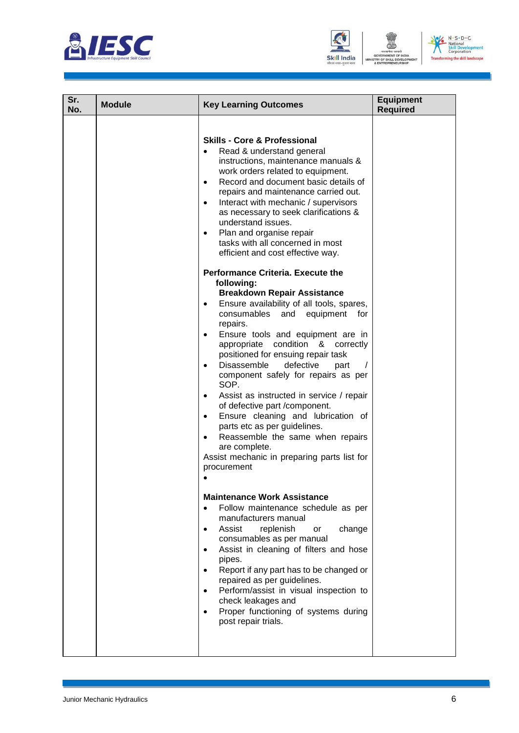



|                                                                                                                                                                                                                                                                                                                                                                                                                                                                                                                                                                                                                                                                                                                                                                                                                                                                                                                                                                                                                                                                                                                                                                                                                                                                                                                                                                                                                 | <b>Required</b> |
|-----------------------------------------------------------------------------------------------------------------------------------------------------------------------------------------------------------------------------------------------------------------------------------------------------------------------------------------------------------------------------------------------------------------------------------------------------------------------------------------------------------------------------------------------------------------------------------------------------------------------------------------------------------------------------------------------------------------------------------------------------------------------------------------------------------------------------------------------------------------------------------------------------------------------------------------------------------------------------------------------------------------------------------------------------------------------------------------------------------------------------------------------------------------------------------------------------------------------------------------------------------------------------------------------------------------------------------------------------------------------------------------------------------------|-----------------|
| <b>Skills - Core &amp; Professional</b><br>Read & understand general<br>instructions, maintenance manuals &<br>work orders related to equipment.<br>Record and document basic details of<br>$\bullet$<br>repairs and maintenance carried out.<br>Interact with mechanic / supervisors<br>$\bullet$<br>as necessary to seek clarifications &<br>understand issues.<br>Plan and organise repair<br>$\bullet$<br>tasks with all concerned in most<br>efficient and cost effective way.<br><b>Performance Criteria. Execute the</b><br>following:<br><b>Breakdown Repair Assistance</b><br>Ensure availability of all tools, spares,<br>$\bullet$<br>consumables and<br>equipment for<br>repairs.<br>Ensure tools and equipment are in<br>$\bullet$<br>appropriate condition & correctly<br>positioned for ensuing repair task<br>Disassemble<br>defective<br>part<br>$\bullet$<br>component safely for repairs as per<br>SOP.<br>Assist as instructed in service / repair<br>$\bullet$<br>of defective part /component.<br>Ensure cleaning and lubrication of<br>$\bullet$<br>parts etc as per guidelines.<br>Reassemble the same when repairs<br>$\bullet$<br>are complete.<br>Assist mechanic in preparing parts list for<br>procurement<br><b>Maintenance Work Assistance</b><br>Follow maintenance schedule as per<br>manufacturers manual<br>Assist<br>change<br>replenish<br>or<br>consumables as per manual |                 |
| Assist in cleaning of filters and hose<br>pipes.<br>Report if any part has to be changed or<br>repaired as per guidelines.<br>Perform/assist in visual inspection to<br>$\bullet$<br>check leakages and<br>Proper functioning of systems during<br>$\bullet$<br>post repair trials.                                                                                                                                                                                                                                                                                                                                                                                                                                                                                                                                                                                                                                                                                                                                                                                                                                                                                                                                                                                                                                                                                                                             |                 |
|                                                                                                                                                                                                                                                                                                                                                                                                                                                                                                                                                                                                                                                                                                                                                                                                                                                                                                                                                                                                                                                                                                                                                                                                                                                                                                                                                                                                                 |                 |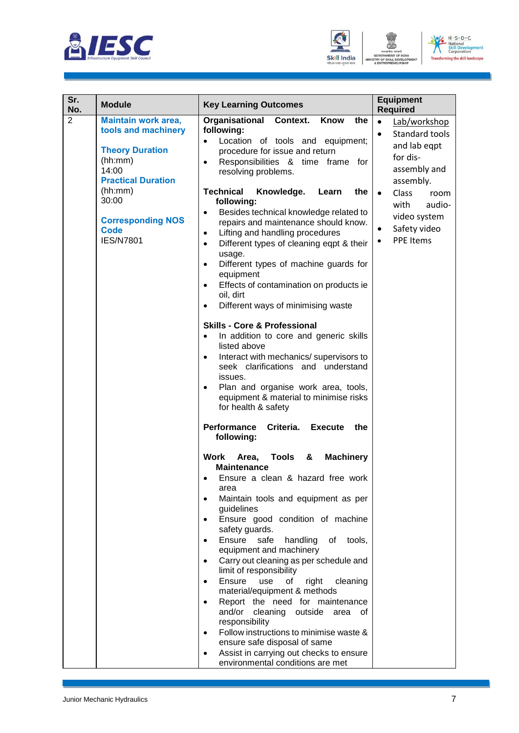



| $N \cdot S \cdot D \cdot C$                         |
|-----------------------------------------------------|
| National<br><b>Skill Development</b><br>Corporation |
| <b>Transforming the skill landscape</b>             |

| Sr.<br>No.     | <b>Module</b>                                                                                                                | <b>Key Learning Outcomes</b>                                                                                                                                                                                                                                                                                                                                                                                                                                                                                                                                                                                                                                                                                                                                                                                                                                                                                                                                                                                                                                                                                                                                                                                                                                                                                                                                                                                                                                                                                                                                                                                                                                        | <b>Equipment</b><br><b>Required</b>                                                                                        |
|----------------|------------------------------------------------------------------------------------------------------------------------------|---------------------------------------------------------------------------------------------------------------------------------------------------------------------------------------------------------------------------------------------------------------------------------------------------------------------------------------------------------------------------------------------------------------------------------------------------------------------------------------------------------------------------------------------------------------------------------------------------------------------------------------------------------------------------------------------------------------------------------------------------------------------------------------------------------------------------------------------------------------------------------------------------------------------------------------------------------------------------------------------------------------------------------------------------------------------------------------------------------------------------------------------------------------------------------------------------------------------------------------------------------------------------------------------------------------------------------------------------------------------------------------------------------------------------------------------------------------------------------------------------------------------------------------------------------------------------------------------------------------------------------------------------------------------|----------------------------------------------------------------------------------------------------------------------------|
| $\overline{2}$ | <b>Maintain work area,</b><br>tools and machinery<br><b>Theory Duration</b><br>(hh:mm)<br>14:00<br><b>Practical Duration</b> | Organisational<br>Context.<br>Know<br>the<br>following:<br>Location of tools and equipment;<br>$\bullet$<br>procedure for issue and return<br>Responsibilities & time frame for<br>$\bullet$<br>resolving problems.                                                                                                                                                                                                                                                                                                                                                                                                                                                                                                                                                                                                                                                                                                                                                                                                                                                                                                                                                                                                                                                                                                                                                                                                                                                                                                                                                                                                                                                 | Lab/workshop<br>$\bullet$<br>Standard tools<br>$\bullet$<br>and lab eqpt<br>for dis-<br>assembly and<br>assembly.          |
|                | (hh:mm)<br>30:00<br><b>Corresponding NOS</b><br><b>Code</b><br><b>IES/N7801</b>                                              | <b>Technical</b><br>Knowledge.<br>Learn<br>the<br>following:<br>Besides technical knowledge related to<br>٠<br>repairs and maintenance should know.<br>Lifting and handling procedures<br>$\bullet$<br>Different types of cleaning eqpt & their<br>$\bullet$<br>usage.<br>Different types of machine guards for<br>$\bullet$<br>equipment<br>Effects of contamination on products ie<br>$\bullet$<br>oil, dirt<br>Different ways of minimising waste<br><b>Skills - Core &amp; Professional</b><br>In addition to core and generic skills<br>$\bullet$<br>listed above<br>Interact with mechanics/ supervisors to<br>$\bullet$<br>seek clarifications and understand<br>issues.<br>Plan and organise work area, tools,<br>$\bullet$<br>equipment & material to minimise risks<br>for health & safety<br>Criteria.<br>Performance<br><b>Execute</b><br>the<br>following:<br><b>Tools</b><br><b>Machinery</b><br>Work<br>Area,<br>&<br><b>Maintenance</b><br>Ensure a clean & hazard free work<br>$\bullet$<br>area<br>Maintain tools and equipment as per<br>guidelines<br>Ensure good condition of machine<br>safety guards.<br>Ensure safe<br>handling<br>of tools,<br>$\bullet$<br>equipment and machinery<br>Carry out cleaning as per schedule and<br>$\bullet$<br>limit of responsibility<br>Ensure<br>use<br>of<br>right<br>cleaning<br>$\bullet$<br>material/equipment & methods<br>Report the need for maintenance<br>٠<br>and/or cleaning outside<br>area of<br>responsibility<br>Follow instructions to minimise waste &<br>$\bullet$<br>ensure safe disposal of same<br>Assist in carrying out checks to ensure<br>٠<br>environmental conditions are met | Class<br>$\bullet$<br>room<br>with<br>audio-<br>video system<br>Safety video<br>$\bullet$<br><b>PPE Items</b><br>$\bullet$ |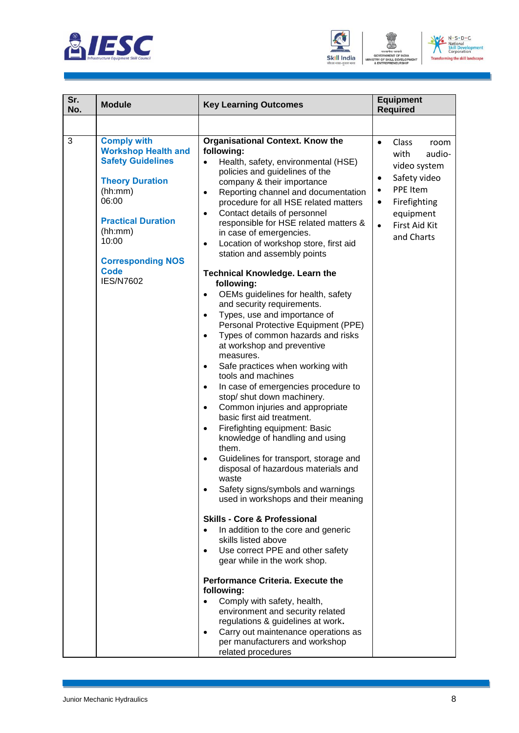





| Sr.<br>No. | <b>Module</b>                                                                                                                                                                                                                              | <b>Key Learning Outcomes</b>                                                                                                                                                                                                                                                                                                                                                                                                                                                                                                                                                                                                                                                                                                                                                                                                                                                                                                                                                                                                                                                                                                                                                                                                                                                                                                                                                                                                                                                                                                                                                                                                                                                                                                                                         | <b>Equipment</b><br><b>Required</b>                                                                                                                                                                      |
|------------|--------------------------------------------------------------------------------------------------------------------------------------------------------------------------------------------------------------------------------------------|----------------------------------------------------------------------------------------------------------------------------------------------------------------------------------------------------------------------------------------------------------------------------------------------------------------------------------------------------------------------------------------------------------------------------------------------------------------------------------------------------------------------------------------------------------------------------------------------------------------------------------------------------------------------------------------------------------------------------------------------------------------------------------------------------------------------------------------------------------------------------------------------------------------------------------------------------------------------------------------------------------------------------------------------------------------------------------------------------------------------------------------------------------------------------------------------------------------------------------------------------------------------------------------------------------------------------------------------------------------------------------------------------------------------------------------------------------------------------------------------------------------------------------------------------------------------------------------------------------------------------------------------------------------------------------------------------------------------------------------------------------------------|----------------------------------------------------------------------------------------------------------------------------------------------------------------------------------------------------------|
|            |                                                                                                                                                                                                                                            |                                                                                                                                                                                                                                                                                                                                                                                                                                                                                                                                                                                                                                                                                                                                                                                                                                                                                                                                                                                                                                                                                                                                                                                                                                                                                                                                                                                                                                                                                                                                                                                                                                                                                                                                                                      |                                                                                                                                                                                                          |
| 3          | <b>Comply with</b><br><b>Workshop Health and</b><br><b>Safety Guidelines</b><br><b>Theory Duration</b><br>(hh:mm)<br>06:00<br><b>Practical Duration</b><br>(hh:mm)<br>10:00<br><b>Corresponding NOS</b><br><b>Code</b><br><b>IES/N7602</b> | Organisational Context. Know the<br>following:<br>Health, safety, environmental (HSE)<br>$\bullet$<br>policies and guidelines of the<br>company & their importance<br>Reporting channel and documentation<br>$\bullet$<br>procedure for all HSE related matters<br>Contact details of personnel<br>$\bullet$<br>responsible for HSE related matters &<br>in case of emergencies.<br>Location of workshop store, first aid<br>$\bullet$<br>station and assembly points<br><b>Technical Knowledge. Learn the</b><br>following:<br>OEMs guidelines for health, safety<br>$\bullet$<br>and security requirements.<br>Types, use and importance of<br>٠<br>Personal Protective Equipment (PPE)<br>Types of common hazards and risks<br>$\bullet$<br>at workshop and preventive<br>measures.<br>Safe practices when working with<br>$\bullet$<br>tools and machines<br>In case of emergencies procedure to<br>$\bullet$<br>stop/ shut down machinery.<br>Common injuries and appropriate<br>$\bullet$<br>basic first aid treatment.<br>Firefighting equipment: Basic<br>$\bullet$<br>knowledge of handling and using<br>them.<br>Guidelines for transport, storage and<br>$\bullet$<br>disposal of hazardous materials and<br>waste<br>Safety signs/symbols and warnings<br>used in workshops and their meaning<br><b>Skills - Core &amp; Professional</b><br>In addition to the core and generic<br>skills listed above<br>Use correct PPE and other safety<br>gear while in the work shop.<br><b>Performance Criteria, Execute the</b><br>following:<br>Comply with safety, health,<br>environment and security related<br>regulations & guidelines at work.<br>Carry out maintenance operations as<br>$\bullet$<br>per manufacturers and workshop<br>related procedures | Class<br>$\bullet$<br>room<br>audio-<br>with<br>video system<br>Safety video<br>$\bullet$<br>PPE Item<br>$\bullet$<br>Firefighting<br>$\bullet$<br>equipment<br>$\bullet$<br>First Aid Kit<br>and Charts |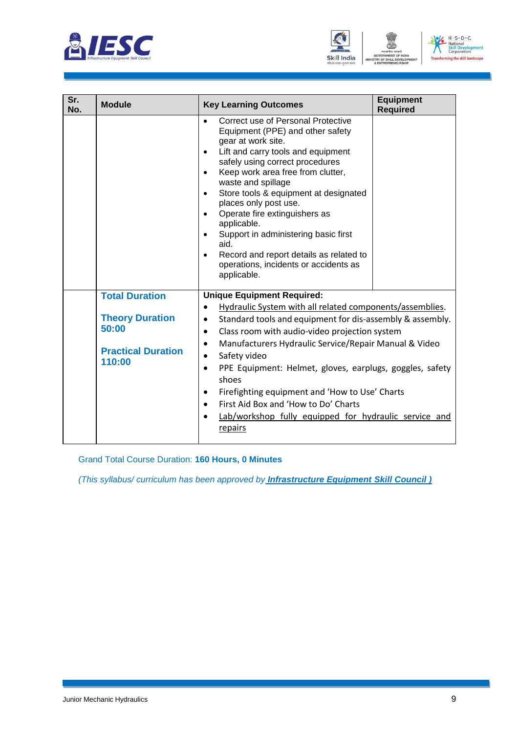



| Sr.<br>No. | <b>Module</b>                                                          | <b>Key Learning Outcomes</b>                                                                                                                                                                                                                                                                                                                                                                                                                                                                                                                                           | <b>Equipment</b><br><b>Required</b> |
|------------|------------------------------------------------------------------------|------------------------------------------------------------------------------------------------------------------------------------------------------------------------------------------------------------------------------------------------------------------------------------------------------------------------------------------------------------------------------------------------------------------------------------------------------------------------------------------------------------------------------------------------------------------------|-------------------------------------|
|            |                                                                        | Correct use of Personal Protective<br>$\bullet$<br>Equipment (PPE) and other safety<br>gear at work site.<br>Lift and carry tools and equipment<br>$\bullet$<br>safely using correct procedures<br>Keep work area free from clutter,<br>$\bullet$<br>waste and spillage<br>Store tools & equipment at designated<br>$\bullet$<br>places only post use.<br>Operate fire extinguishers as<br>applicable.<br>Support in administering basic first<br>$\bullet$<br>aid.<br>Record and report details as related to<br>operations, incidents or accidents as<br>applicable. |                                     |
|            | <b>Total Duration</b>                                                  | <b>Unique Equipment Required:</b><br>Hydraulic System with all related components/assemblies.                                                                                                                                                                                                                                                                                                                                                                                                                                                                          |                                     |
|            | <b>Theory Duration</b><br>50:00<br><b>Practical Duration</b><br>110:00 | Standard tools and equipment for dis-assembly & assembly.<br>$\bullet$<br>Class room with audio-video projection system<br>$\bullet$<br>Manufacturers Hydraulic Service/Repair Manual & Video<br>$\bullet$<br>Safety video<br>$\bullet$<br>PPE Equipment: Helmet, gloves, earplugs, goggles, safety<br>$\bullet$<br>shoes<br>Firefighting equipment and 'How to Use' Charts<br>٠<br>First Aid Box and 'How to Do' Charts<br>$\bullet$<br>Lab/workshop fully equipped for hydraulic service and<br>repairs                                                              |                                     |

Grand Total Course Duration: **160 Hours, 0 Minutes**

*(This syllabus/ curriculum has been approved by Infrastructure Equipment Skill Council )*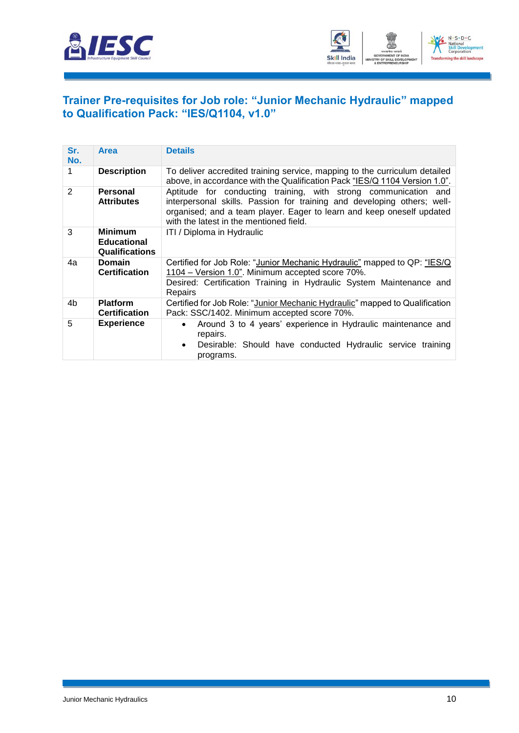



#### **Trainer Pre-requisites for Job role: "Junior Mechanic Hydraulic" mapped to Qualification Pack: "IES/Q1104, v1.0"**

| Sr.<br>No.    | <b>Area</b>                                                   | <b>Details</b>                                                                                                                                                                                                                                                 |
|---------------|---------------------------------------------------------------|----------------------------------------------------------------------------------------------------------------------------------------------------------------------------------------------------------------------------------------------------------------|
|               | <b>Description</b>                                            | To deliver accredited training service, mapping to the curriculum detailed<br>above, in accordance with the Qualification Pack "IES/Q 1104 Version 1.0".                                                                                                       |
| $\mathcal{P}$ | <b>Personal</b><br><b>Attributes</b>                          | Aptitude for conducting training, with strong communication and<br>interpersonal skills. Passion for training and developing others; well-<br>organised; and a team player. Eager to learn and keep oneself updated<br>with the latest in the mentioned field. |
| 3             | <b>Minimum</b><br><b>Educational</b><br><b>Qualifications</b> | ITI / Diploma in Hydraulic                                                                                                                                                                                                                                     |
| 4a            | <b>Domain</b><br><b>Certification</b>                         | Certified for Job Role: "Junior Mechanic Hydraulic" mapped to QP: "IES/Q<br>1104 – Version 1.0". Minimum accepted score 70%.<br>Desired: Certification Training in Hydraulic System Maintenance and<br>Repairs                                                 |
| 4b            | <b>Platform</b><br><b>Certification</b>                       | Certified for Job Role: "Junior Mechanic Hydraulic" mapped to Qualification<br>Pack: SSC/1402. Minimum accepted score 70%.                                                                                                                                     |
| 5             | <b>Experience</b>                                             | Around 3 to 4 years' experience in Hydraulic maintenance and<br>repairs.<br>Desirable: Should have conducted Hydraulic service training<br>$\bullet$<br>programs.                                                                                              |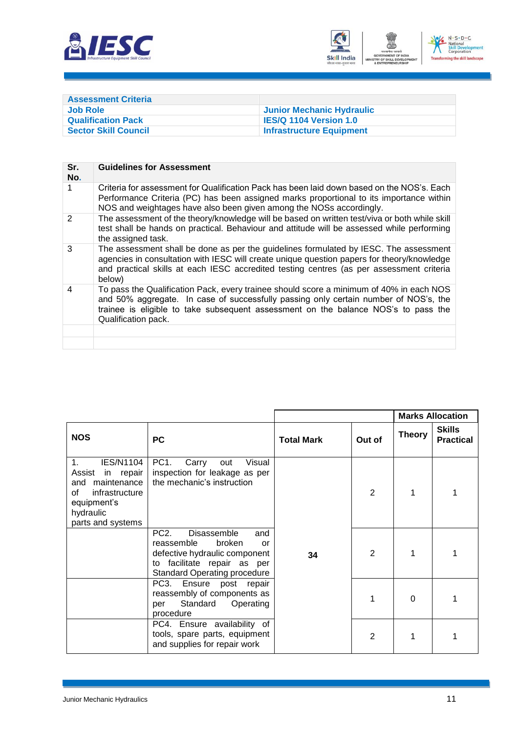



| <b>Assessment Criteria</b>  |                                 |
|-----------------------------|---------------------------------|
| <b>Job Role</b>             | Junior Mechanic Hydraulic       |
| <b>Qualification Pack</b>   | <b>IES/Q 1104 Version 1.0</b>   |
| <b>Sector Skill Council</b> | <b>Infrastructure Equipment</b> |

| Sr.<br>No.    | <b>Guidelines for Assessment</b>                                                                                                                                                                                                                                                             |
|---------------|----------------------------------------------------------------------------------------------------------------------------------------------------------------------------------------------------------------------------------------------------------------------------------------------|
|               | Criteria for assessment for Qualification Pack has been laid down based on the NOS's. Each<br>Performance Criteria (PC) has been assigned marks proportional to its importance within<br>NOS and weightages have also been given among the NOSs accordingly.                                 |
| $\mathcal{P}$ | The assessment of the theory/knowledge will be based on written test/viva or both while skill<br>test shall be hands on practical. Behaviour and attitude will be assessed while performing<br>the assigned task.                                                                            |
| 3             | The assessment shall be done as per the guidelines formulated by IESC. The assessment<br>agencies in consultation with IESC will create unique question papers for theory/knowledge<br>and practical skills at each IESC accredited testing centres (as per assessment criteria<br>below)    |
| 4             | To pass the Qualification Pack, every trainee should score a minimum of 40% in each NOS<br>and 50% aggregate. In case of successfully passing only certain number of NOS's, the<br>trainee is eligible to take subsequent assessment on the balance NOS's to pass the<br>Qualification pack. |
|               |                                                                                                                                                                                                                                                                                              |
|               |                                                                                                                                                                                                                                                                                              |

|                                                                                                                                                |                                                                                                                                                                                 |                   | <b>Marks Allocation</b> |               |                                   |
|------------------------------------------------------------------------------------------------------------------------------------------------|---------------------------------------------------------------------------------------------------------------------------------------------------------------------------------|-------------------|-------------------------|---------------|-----------------------------------|
| <b>NOS</b>                                                                                                                                     | <b>PC</b>                                                                                                                                                                       | <b>Total Mark</b> | Out of                  | <b>Theory</b> | <b>Skills</b><br><b>Practical</b> |
| <b>IES/N1104</b><br>$1_{-}$<br>Assist<br>in repair<br>and maintenance<br>of<br>infrastructure<br>equipment's<br>hydraulic<br>parts and systems | PC <sub>1</sub> .<br>Visual<br>Carry<br>out<br>inspection for leakage as per<br>the mechanic's instruction                                                                      |                   | $\mathbf{2}$            |               |                                   |
|                                                                                                                                                | PC <sub>2</sub> .<br>Disassemble<br>and<br>reassemble<br>broken<br>or<br>defective hydraulic component<br>facilitate repair as per<br>to<br><b>Standard Operating procedure</b> | 34                | $\overline{2}$          |               |                                   |
|                                                                                                                                                | PC3. Ensure post repair<br>reassembly of components as<br>Standard<br>Operating<br>per<br>procedure                                                                             |                   |                         | $\Omega$      |                                   |
|                                                                                                                                                | PC4. Ensure availability of<br>tools, spare parts, equipment<br>and supplies for repair work                                                                                    |                   | $\overline{2}$          |               |                                   |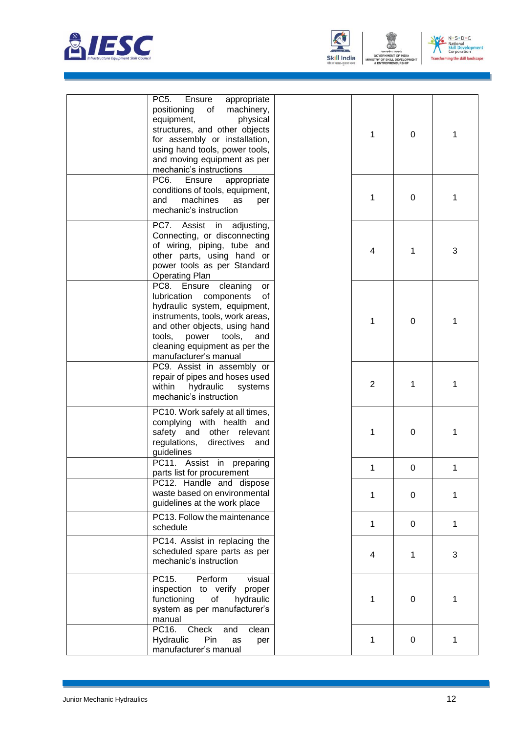





| PC <sub>5</sub> .<br>Ensure<br>appropriate<br>positioning<br>machinery,<br>of<br>physical<br>equipment,<br>structures, and other objects<br>for assembly or installation,<br>using hand tools, power tools,<br>and moving equipment as per<br>mechanic's instructions | 1              | $\overline{0}$ | 1 |
|-----------------------------------------------------------------------------------------------------------------------------------------------------------------------------------------------------------------------------------------------------------------------|----------------|----------------|---|
| PC <sub>6</sub><br>Ensure<br>appropriate<br>conditions of tools, equipment,<br>machines<br>and<br>as<br>per<br>mechanic's instruction                                                                                                                                 | 1              | $\mathbf 0$    | 1 |
| PC7.<br>Assist<br>adjusting,<br>in<br>Connecting, or disconnecting<br>of wiring, piping, tube and<br>other parts, using hand or<br>power tools as per Standard<br><b>Operating Plan</b>                                                                               | 4              | 1              | 3 |
| PC8.<br>Ensure<br>cleaning<br>or<br>lubrication<br>components<br>of<br>hydraulic system, equipment,<br>instruments, tools, work areas,<br>and other objects, using hand<br>power<br>tools,<br>tools.<br>and<br>cleaning equipment as per the<br>manufacturer's manual | $\mathbf{1}$   | 0              | 1 |
| PC9. Assist in assembly or<br>repair of pipes and hoses used<br>within<br>hydraulic<br>systems<br>mechanic's instruction                                                                                                                                              | $\overline{2}$ | 1              | 1 |
| PC10. Work safely at all times,<br>complying with health and<br>safety and other relevant<br>regulations,<br>directives<br>and<br>guidelines                                                                                                                          | 1              | 0              | 1 |
| PC11. Assist in preparing<br>parts list for procurement                                                                                                                                                                                                               | 1              | 0              | 1 |
| PC12. Handle and dispose<br>waste based on environmental<br>guidelines at the work place                                                                                                                                                                              | 1              | 0              | 1 |
| PC13. Follow the maintenance<br>schedule                                                                                                                                                                                                                              | $\mathbf{1}$   | 0              | 1 |
| PC14. Assist in replacing the<br>scheduled spare parts as per<br>mechanic's instruction                                                                                                                                                                               | 4              | 1              | 3 |
| PC15.<br>Perform<br>visual<br>inspection to verify<br>proper<br>functioning<br>of<br>hydraulic<br>system as per manufacturer's<br>manual                                                                                                                              | 1              | 0              | 1 |
| PC16.<br>Check<br>and<br>clean<br>Hydraulic<br>Pin<br>as<br>per<br>manufacturer's manual                                                                                                                                                                              | $\mathbf{1}$   | 0              | 1 |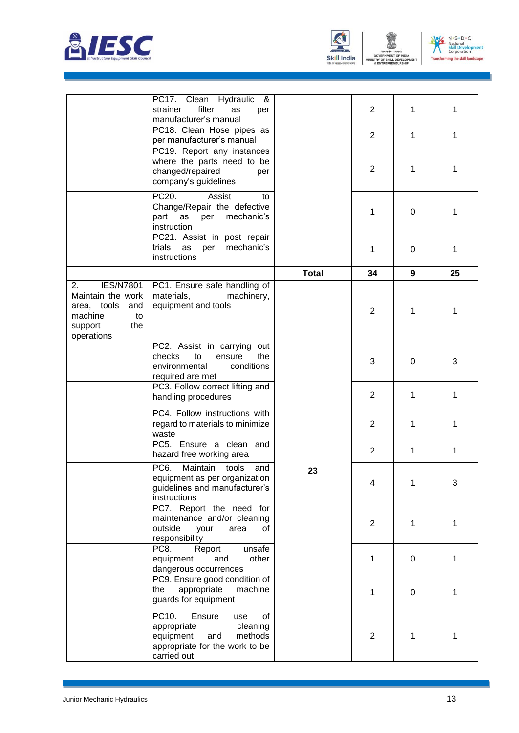



MIN



|                                                                                                                    | PC17. Clean Hydraulic<br>- &<br>strainer<br>filter<br>as<br>per<br>manufacturer's manual                                                |              | $\overline{2}$          | 1            | 1  |
|--------------------------------------------------------------------------------------------------------------------|-----------------------------------------------------------------------------------------------------------------------------------------|--------------|-------------------------|--------------|----|
|                                                                                                                    | PC18. Clean Hose pipes as<br>per manufacturer's manual                                                                                  |              | $\overline{2}$          | $\mathbf{1}$ | 1  |
|                                                                                                                    | PC19. Report any instances<br>where the parts need to be<br>changed/repaired<br>per<br>company's guidelines                             |              | $\overline{2}$          | 1            | 1  |
|                                                                                                                    | PC20.<br>Assist<br>to<br>Change/Repair the defective<br>part<br>mechanic's<br>as<br>per<br>instruction                                  |              | 1                       | 0            | 1  |
|                                                                                                                    | PC21. Assist in post repair<br>trials<br>mechanic's<br>as<br>per<br>instructions                                                        |              | 1                       | $\Omega$     | 1  |
|                                                                                                                    |                                                                                                                                         | <b>Total</b> | 34                      | 9            | 25 |
| 2.<br><b>IES/N7801</b><br>Maintain the work<br>area, tools<br>and<br>machine<br>to<br>the<br>support<br>operations | PC1. Ensure safe handling of<br>materials,<br>machinery,<br>equipment and tools                                                         |              | $\overline{2}$          | 1            | 1  |
|                                                                                                                    | PC2. Assist in carrying<br>out<br>checks<br>to<br>ensure<br>the<br>environmental<br>conditions<br>required are met                      |              | 3                       | 0            | 3  |
|                                                                                                                    | PC3. Follow correct lifting and<br>handling procedures                                                                                  |              | $\overline{2}$          | 1            | 1  |
|                                                                                                                    | PC4. Follow instructions with<br>regard to materials to minimize<br>waste                                                               |              | $\overline{2}$          | 1            | 1  |
|                                                                                                                    | PC5. Ensure a clean and<br>hazard free working area                                                                                     | 23           | $\overline{2}$          | 1            | 1  |
|                                                                                                                    | Maintain<br>PC6.<br>tools<br>and<br>equipment as per organization<br>guidelines and manufacturer's<br>instructions                      |              | $\overline{\mathbf{4}}$ | 1            | 3  |
|                                                                                                                    | PC7. Report the need for<br>maintenance and/or cleaning<br>outside<br>your<br>area<br>οf<br>responsibility                              |              | $\overline{2}$          | 1            | 1  |
|                                                                                                                    | PC8.<br>Report<br>unsafe<br>equipment<br>other<br>and<br>dangerous occurrences                                                          |              | $\mathbf{1}$            | 0            | 1  |
|                                                                                                                    | PC9. Ensure good condition of<br>machine<br>the<br>appropriate<br>guards for equipment                                                  |              | $\mathbf{1}$            | 0            | 1  |
|                                                                                                                    | PC10.<br>Ensure<br>of<br>use<br>appropriate<br>cleaning<br>equipment<br>and<br>methods<br>appropriate for the work to be<br>carried out |              | $\overline{2}$          | 1            | 1  |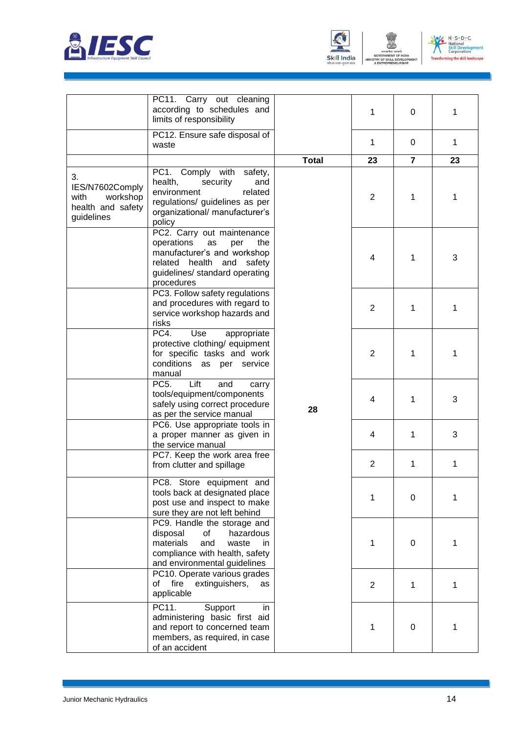



**TRY OF** 



|                                                                              | PC11. Carry out cleaning<br>according to schedules and<br>limits of responsibility                                                                                                |              | 1              | 0              | 1  |
|------------------------------------------------------------------------------|-----------------------------------------------------------------------------------------------------------------------------------------------------------------------------------|--------------|----------------|----------------|----|
|                                                                              | PC12. Ensure safe disposal of<br>waste                                                                                                                                            |              | 1              | 0              | 1  |
|                                                                              |                                                                                                                                                                                   | <b>Total</b> | 23             | $\overline{7}$ | 23 |
| 3.<br>IES/N7602Comply<br>with<br>workshop<br>health and safety<br>guidelines | PC1. Comply with<br>safety,<br>health,<br>security<br>and<br>environment<br>related<br>regulations/ guidelines as per<br>organizational/ manufacturer's<br>policy                 | 28           | $\overline{2}$ | 1              | 1  |
|                                                                              | PC2. Carry out maintenance<br>operations<br>as<br>per<br>the<br>manufacturer's and workshop<br>related<br>health<br>and<br>safety<br>guidelines/ standard operating<br>procedures |              | 4              | 1              | 3  |
|                                                                              | PC3. Follow safety regulations<br>and procedures with regard to<br>service workshop hazards and<br>risks                                                                          |              | $\overline{2}$ | 1              | 1  |
|                                                                              | PC4.<br>Use<br>appropriate<br>protective clothing/ equipment<br>for specific tasks and work<br>conditions as per service<br>manual                                                |              | $\overline{2}$ | 1              | 1  |
|                                                                              | Lift<br>PC5.<br>and<br>carry<br>tools/equipment/components<br>safely using correct procedure<br>as per the service manual                                                         |              | 4              | 1              | 3  |
|                                                                              | PC6. Use appropriate tools in<br>a proper manner as given in<br>the service manual                                                                                                |              | 4              | 1              | 3  |
|                                                                              | PC7. Keep the work area free<br>from clutter and spillage                                                                                                                         |              | $\overline{2}$ | 1              | 1  |
|                                                                              | PC8. Store equipment and<br>tools back at designated place<br>post use and inspect to make<br>sure they are not left behind                                                       |              | 1              | 0              | 1  |
|                                                                              | PC9. Handle the storage and<br>disposal<br>of<br>hazardous<br>materials<br>and<br>waste<br>in.<br>compliance with health, safety<br>and environmental guidelines                  |              | 1              | 0              | 1  |
|                                                                              | PC10. Operate various grades<br>fire<br>extinguishers,<br>of<br>as<br>applicable                                                                                                  |              | $\overline{c}$ | 1              | 1  |
|                                                                              | PC11.<br>Support<br>in<br>administering basic first aid<br>and report to concerned team<br>members, as required, in case<br>of an accident                                        |              | 1              | 0              | 1  |